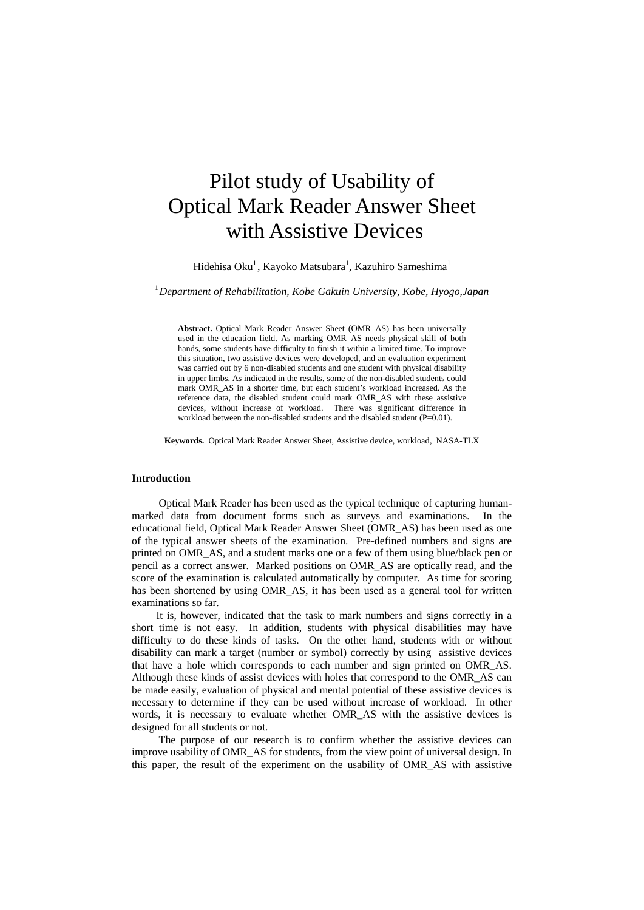# Pilot study of Usability of Optical Mark Reader Answer Sheet with Assistive Devices

Hidehisa Oku<sup>1</sup>, Kayoko Matsubara<sup>1</sup>, Kazuhiro Sameshima<sup>1</sup>

# 1 *Department of Rehabilitation, Kobe Gakuin University, Kobe, Hyogo,Japan*

**Abstract.** Optical Mark Reader Answer Sheet (OMR\_AS) has been universally used in the education field. As marking OMR\_AS needs physical skill of both hands, some students have difficulty to finish it within a limited time. To improve this situation, two assistive devices were developed, and an evaluation experiment was carried out by 6 non-disabled students and one student with physical disability in upper limbs. As indicated in the results, some of the non-disabled students could mark OMR\_AS in a shorter time, but each student's workload increased. As the reference data, the disabled student could mark OMR\_AS with these assistive devices, without increase of workload. There was significant difference in workload between the non-disabled students and the disabled student (P=0.01).

**Keywords.** Optical Mark Reader Answer Sheet, Assistive device, workload, NASA-TLX

#### **Introduction**

Optical Mark Reader has been used as the typical technique of capturing humanmarked data from document forms such as surveys and examinations. In the educational field, Optical Mark Reader Answer Sheet (OMR\_AS) has been used as one of the typical answer sheets of the examination. Pre-defined numbers and signs are printed on OMR\_AS, and a student marks one or a few of them using blue/black pen or pencil as a correct answer. Marked positions on OMR\_AS are optically read, and the score of the examination is calculated automatically by computer. As time for scoring has been shortened by using OMR\_AS, it has been used as a general tool for written examinations so far.

It is, however, indicated that the task to mark numbers and signs correctly in a short time is not easy. In addition, students with physical disabilities may have difficulty to do these kinds of tasks. On the other hand, students with or without disability can mark a target (number or symbol) correctly by using assistive devices that have a hole which corresponds to each number and sign printed on OMR\_AS. Although these kinds of assist devices with holes that correspond to the OMR\_AS can be made easily, evaluation of physical and mental potential of these assistive devices is necessary to determine if they can be used without increase of workload. In other words, it is necessary to evaluate whether OMR\_AS with the assistive devices is designed for all students or not.

The purpose of our research is to confirm whether the assistive devices can improve usability of OMR\_AS for students, from the view point of universal design. In this paper, the result of the experiment on the usability of OMR\_AS with assistive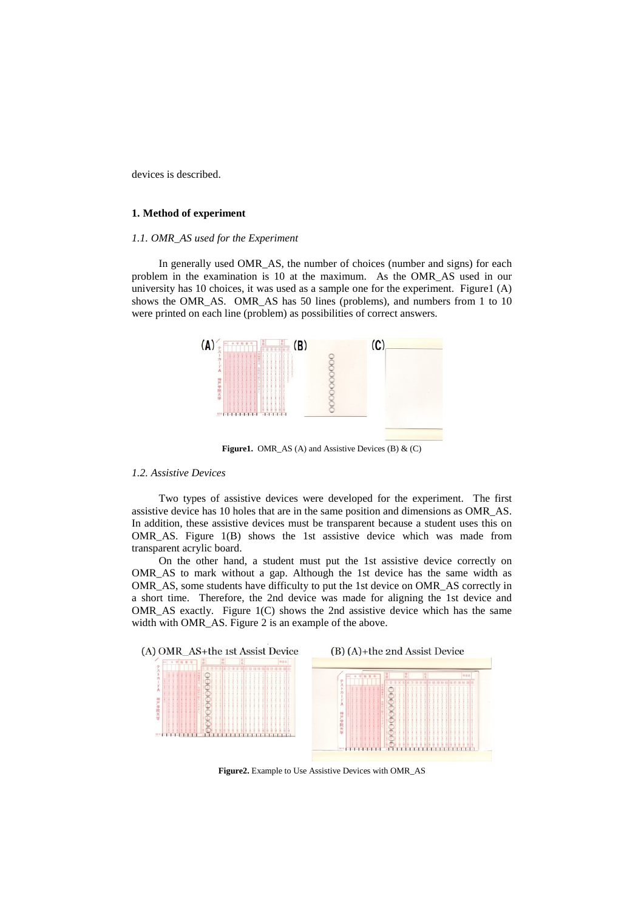devices is described.

## **1. Method of experiment**

## *1.1. OMR\_AS used for the Experiment*

In generally used OMR AS, the number of choices (number and signs) for each problem in the examination is 10 at the maximum. As the OMR\_AS used in our university has 10 choices, it was used as a sample one for the experiment. Figure1 (A) shows the OMR\_AS. OMR\_AS has 50 lines (problems), and numbers from 1 to 10 were printed on each line (problem) as possibilities of correct answers.



Figure1. OMR\_AS (A) and Assistive Devices (B) & (C)

#### *1.2. Assistive Devices*

Two types of assistive devices were developed for the experiment. The first assistive device has 10 holes that are in the same position and dimensions as OMR\_AS. In addition, these assistive devices must be transparent because a student uses this on OMR\_AS. Figure 1(B) shows the 1st assistive device which was made from transparent acrylic board.

On the other hand, a student must put the 1st assistive device correctly on OMR\_AS to mark without a gap. Although the 1st device has the same width as OMR\_AS, some students have difficulty to put the 1st device on OMR\_AS correctly in a short time. Therefore, the 2nd device was made for aligning the 1st device and OMR\_AS exactly. Figure 1(C) shows the 2nd assistive device which has the same width with OMR\_AS. Figure 2 is an example of the above.



**Figure2.** Example to Use Assistive Devices with OMR\_AS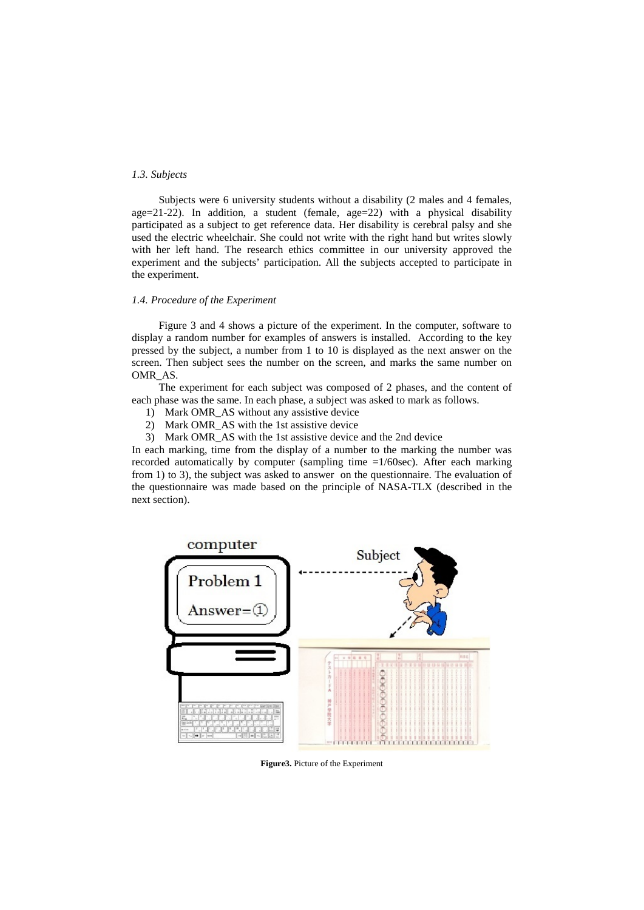## *1.3. Subjects*

Subjects were 6 university students without a disability (2 males and 4 females, age= $21-22$ ). In addition, a student (female, age= $22$ ) with a physical disability participated as a subject to get reference data. Her disability is cerebral palsy and she used the electric wheelchair. She could not write with the right hand but writes slowly with her left hand. The research ethics committee in our university approved the experiment and the subjects' participation. All the subjects accepted to participate in the experiment.

## *1.4. Procedure of the Experiment*

Figure 3 and 4 shows a picture of the experiment. In the computer, software to display a random number for examples of answers is installed. According to the key pressed by the subject, a number from 1 to 10 is displayed as the next answer on the screen. Then subject sees the number on the screen, and marks the same number on OMR\_AS.

The experiment for each subject was composed of 2 phases, and the content of each phase was the same. In each phase, a subject was asked to mark as follows.

- 1) Mark OMR\_AS without any assistive device
- 2) Mark OMR\_AS with the 1st assistive device
- 3) Mark OMR\_AS with the 1st assistive device and the 2nd device

In each marking, time from the display of a number to the marking the number was recorded automatically by computer (sampling time =1/60sec). After each marking from 1) to 3), the subject was asked to answer on the questionnaire. The evaluation of the questionnaire was made based on the principle of NASA-TLX (described in the next section).



**Figure3.** Picture of the Experiment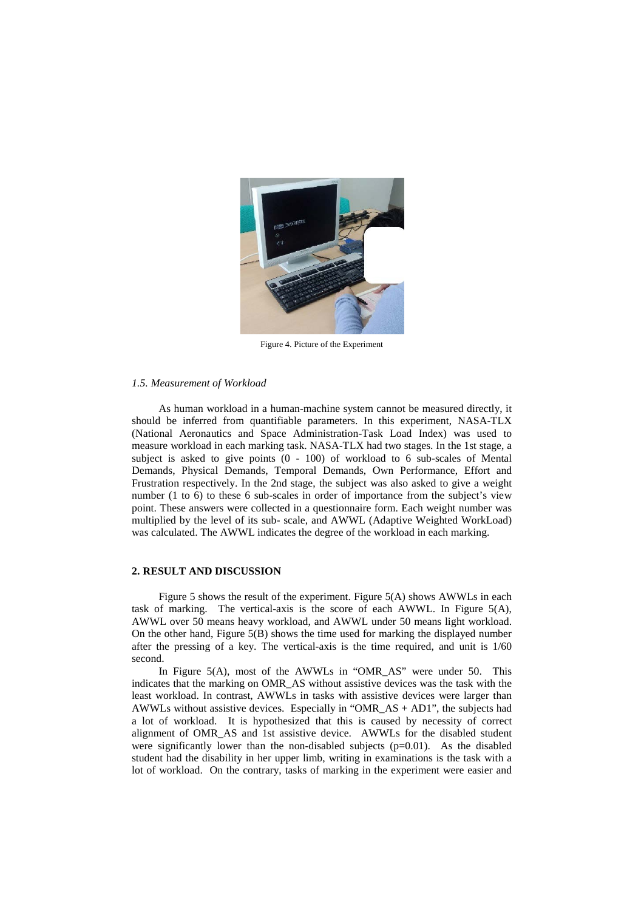

Figure 4. Picture of the Experiment

## *1.5. Measurement of Workload*

As human workload in a human-machine system cannot be measured directly, it should be inferred from quantifiable parameters. In this experiment, NASA-TLX (National Aeronautics and Space Administration-Task Load Index) was used to measure workload in each marking task. NASA-TLX had two stages. In the 1st stage, a subject is asked to give points (0 - 100) of workload to 6 sub-scales of Mental Demands, Physical Demands, Temporal Demands, Own Performance, Effort and Frustration respectively. In the 2nd stage, the subject was also asked to give a weight number (1 to 6) to these 6 sub-scales in order of importance from the subject's view point. These answers were collected in a questionnaire form. Each weight number was multiplied by the level of its sub- scale, and AWWL (Adaptive Weighted WorkLoad) was calculated. The AWWL indicates the degree of the workload in each marking.

### **2. RESULT AND DISCUSSION**

Figure 5 shows the result of the experiment. Figure 5(A) shows AWWLs in each task of marking. The vertical-axis is the score of each AWWL. In Figure 5(A), AWWL over 50 means heavy workload, and AWWL under 50 means light workload. On the other hand, Figure  $5(B)$  shows the time used for marking the displayed number after the pressing of a key. The vertical-axis is the time required, and unit is 1/60 second.

In Figure 5(A), most of the AWWLs in "OMR\_AS" were under 50. This indicates that the marking on OMR\_AS without assistive devices was the task with the least workload. In contrast, AWWLs in tasks with assistive devices were larger than AWWLs without assistive devices. Especially in "OMR\_AS + AD1", the subjects had a lot of workload. It is hypothesized that this is caused by necessity of correct alignment of OMR\_AS and 1st assistive device. AWWLs for the disabled student were significantly lower than the non-disabled subjects  $(p=0.01)$ . As the disabled student had the disability in her upper limb, writing in examinations is the task with a lot of workload. On the contrary, tasks of marking in the experiment were easier and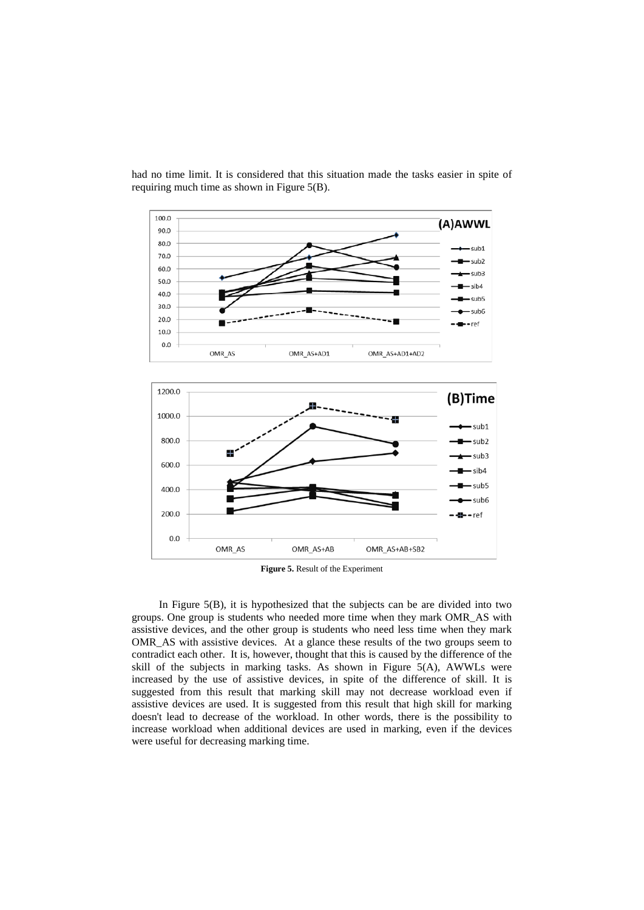

had no time limit. It is considered that this situation made the tasks easier in spite of requiring much time as shown in Figure 5(B).

**Figure 5.** Result of the Experiment

 In Figure 5(B), it is hypothesized that the subjects can be are divided into two groups. One group is students who needed more time when they mark OMR\_AS with assistive devices, and the other group is students who need less time when they mark OMR\_AS with assistive devices. At a glance these results of the two groups seem to contradict each other. It is, however, thought that this is caused by the difference of the skill of the subjects in marking tasks. As shown in Figure 5(A), AWWLs were increased by the use of assistive devices, in spite of the difference of skill. It is suggested from this result that marking skill may not decrease workload even if assistive devices are used. It is suggested from this result that high skill for marking doesn't lead to decrease of the workload. In other words, there is the possibility to increase workload when additional devices are used in marking, even if the devices were useful for decreasing marking time.